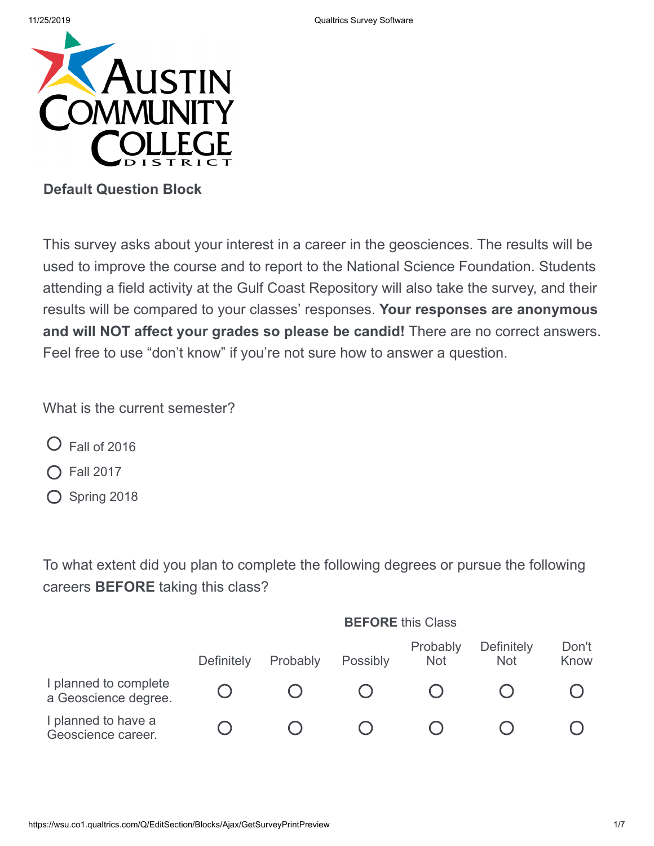

## **Default Question Block**

This survey asks about your interest in a career in the geosciences. The results will be used to improve the course and to report to the National Science Foundation. Students attending a field activity at the Gulf Coast Repository will also take the survey, and their results will be compared to your classes' responses. **Your responses are anonymous and will NOT affect your grades so please be candid!** There are no correct answers. Feel free to use "don't know" if you're not sure how to answer a question.

What is the current semester?

- $\bigcirc$  Fall of 2016
- ◯ Fall 2017
- O Spring 2018

To what extent did you plan to complete the following degrees or pursue the following careers **BEFORE** taking this class?

|                                               | <b>BEFORE</b> this Class |          |          |                        |                                 |               |  |  |
|-----------------------------------------------|--------------------------|----------|----------|------------------------|---------------------------------|---------------|--|--|
|                                               | <b>Definitely</b>        | Probably | Possibly | Probably<br><b>Not</b> | <b>Definitely</b><br><b>Not</b> | Don't<br>Know |  |  |
| I planned to complete<br>a Geoscience degree. |                          |          |          |                        |                                 |               |  |  |
| I planned to have a<br>Geoscience career.     |                          |          |          |                        |                                 |               |  |  |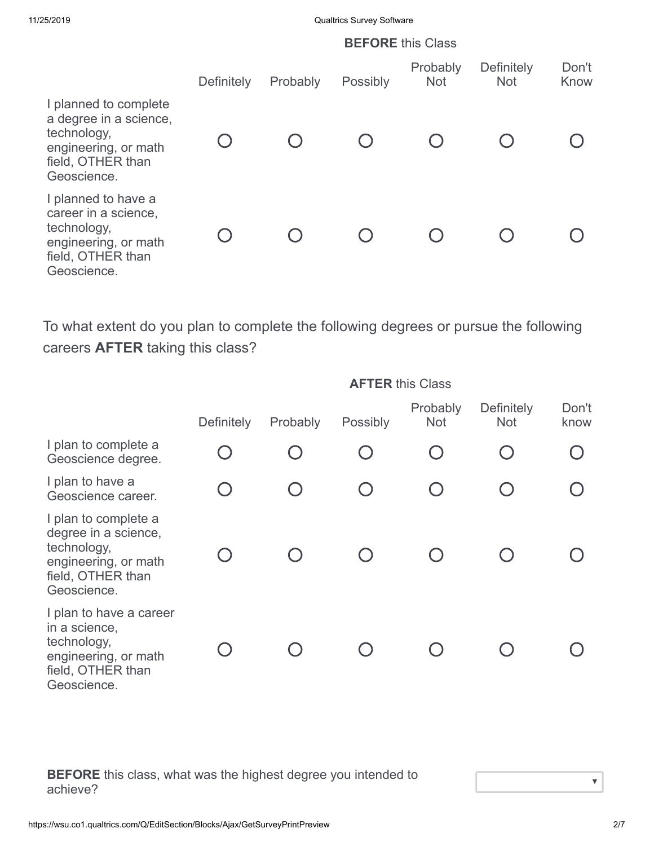11/25/2019 Qualtrics Survey Software

|                                                                                                                            | <b>BEFORE</b> this Class |          |          |                        |                                 |               |  |
|----------------------------------------------------------------------------------------------------------------------------|--------------------------|----------|----------|------------------------|---------------------------------|---------------|--|
|                                                                                                                            | Definitely               | Probably | Possibly | Probably<br><b>Not</b> | <b>Definitely</b><br><b>Not</b> | Don't<br>Know |  |
| I planned to complete<br>a degree in a science,<br>technology,<br>engineering, or math<br>field, OTHER than<br>Geoscience. |                          |          |          |                        |                                 |               |  |
| I planned to have a<br>career in a science,<br>technology,<br>engineering, or math<br>field, OTHER than<br>Geoscience.     |                          |          |          |                        |                                 |               |  |

To what extent do you plan to complete the following degrees or pursue the following careers **AFTER** taking this class?

|                                                                                                                         | <b>AFTER this Class</b> |                                  |          |                        |                                 |               |  |
|-------------------------------------------------------------------------------------------------------------------------|-------------------------|----------------------------------|----------|------------------------|---------------------------------|---------------|--|
|                                                                                                                         | Definitely              | Probably                         | Possibly | Probably<br><b>Not</b> | <b>Definitely</b><br><b>Not</b> | Don't<br>know |  |
| I plan to complete a<br>Geoscience degree.                                                                              |                         |                                  |          |                        |                                 |               |  |
| I plan to have a<br>Geoscience career.                                                                                  |                         | $\begin{array}{ccc} \end{array}$ |          |                        |                                 |               |  |
| I plan to complete a<br>degree in a science,<br>technology,<br>engineering, or math<br>field, OTHER than<br>Geoscience. |                         |                                  |          |                        |                                 |               |  |
| I plan to have a career<br>in a science,<br>technology,<br>engineering, or math<br>field, OTHER than<br>Geoscience.     |                         |                                  |          |                        |                                 |               |  |

**BEFORE** this class, what was the highest degree you intended to achieve?

 $\bar{\bm{\nabla}}$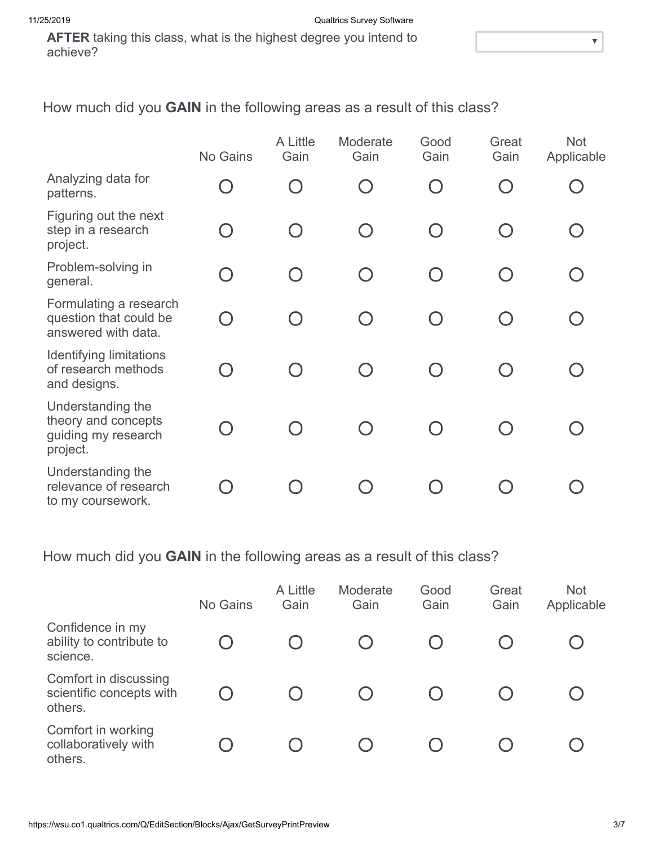**AFTER** taking this class, what is the highest degree you intend to achieve?

How much did you **GAIN** in the following areas as a result of this class?

|                                                                             | No Gains  | A Little<br>Gain | Moderate<br>Gain | Good<br>Gain                                  | Great<br>Gain | <b>Not</b><br>Applicable |
|-----------------------------------------------------------------------------|-----------|------------------|------------------|-----------------------------------------------|---------------|--------------------------|
| Analyzing data for<br>patterns.                                             |           |                  |                  | $\bigcap$                                     |               |                          |
| Figuring out the next<br>step in a research<br>project.                     | $\bigcap$ |                  | $\bigcap$        | $\left( \begin{array}{c} \end{array} \right)$ |               |                          |
| Problem-solving in<br>general.                                              | $\bigcap$ |                  |                  | $\bigcap$                                     |               |                          |
| Formulating a research<br>question that could be<br>answered with data.     |           |                  |                  |                                               |               |                          |
| <b>Identifying limitations</b><br>of research methods<br>and designs.       |           |                  |                  |                                               |               |                          |
| Understanding the<br>theory and concepts<br>guiding my research<br>project. |           |                  |                  |                                               |               |                          |
| Understanding the<br>relevance of research<br>to my coursework.             |           |                  |                  |                                               |               |                          |

How much did you **GAIN** in the following areas as a result of this class?

|                                                              | No Gains | A Little<br>Gain | Moderate<br>Gain | Good<br>Gain | Great<br>Gain | <b>Not</b><br>Applicable |
|--------------------------------------------------------------|----------|------------------|------------------|--------------|---------------|--------------------------|
| Confidence in my<br>ability to contribute to<br>science.     |          |                  |                  |              |               |                          |
| Comfort in discussing<br>scientific concepts with<br>others. |          |                  |                  |              |               |                          |
| Comfort in working<br>collaboratively with<br>others.        |          |                  |                  |              |               |                          |

 $\overline{\mathbf{v}}$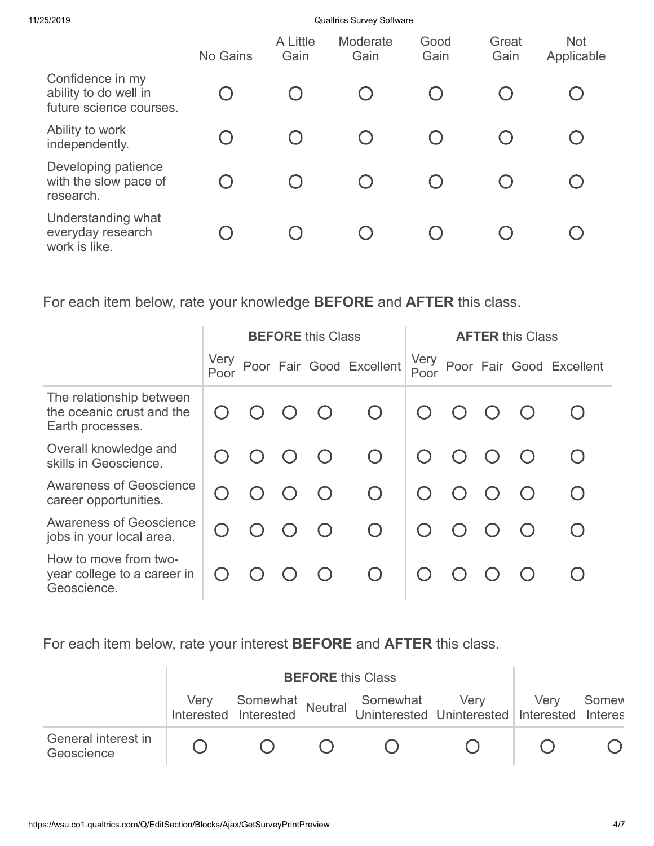11/25/2019 Qualtrics Survey Software

|                                                                      | No Gains                                      | A Little<br>Gain | Moderate<br>Gain | Good<br>Gain | Great<br>Gain | <b>Not</b><br>Applicable |
|----------------------------------------------------------------------|-----------------------------------------------|------------------|------------------|--------------|---------------|--------------------------|
| Confidence in my<br>ability to do well in<br>future science courses. |                                               |                  |                  |              |               |                          |
| Ability to work<br>independently.                                    |                                               |                  |                  |              |               |                          |
| Developing patience<br>with the slow pace of<br>research.            | $\left( \begin{array}{c} \end{array} \right)$ |                  | $\bigcirc$       |              |               |                          |
| Understanding what<br>everyday research<br>work is like.             |                                               |                  |                  |              |               |                          |

For each item below, rate your knowledge **BEFORE** and **AFTER** this class.

|                                                                           | <b>BEFORE</b> this Class |  |  |           |                          | <b>AFTER this Class</b> |            |           |  |                          |
|---------------------------------------------------------------------------|--------------------------|--|--|-----------|--------------------------|-------------------------|------------|-----------|--|--------------------------|
|                                                                           | Very<br>Poor             |  |  |           | Poor Fair Good Excellent | Very<br>Poor            |            |           |  | Poor Fair Good Excellent |
| The relationship between<br>the oceanic crust and the<br>Earth processes. |                          |  |  | $\bigcap$ | $\bigcirc$               |                         | $\bigcap$  |           |  |                          |
| Overall knowledge and<br>skills in Geoscience.                            |                          |  |  | $\bigcap$ | $\bigcap$                |                         | $\bigcirc$ | $\bigcap$ |  |                          |
| <b>Awareness of Geoscience</b><br>career opportunities.                   |                          |  |  | $\bigcap$ | $\bigcap$                |                         | $\bigcap$  |           |  |                          |
| <b>Awareness of Geoscience</b><br>jobs in your local area.                |                          |  |  | $\bigcap$ | $\bigcap$                |                         | $\bigcap$  |           |  |                          |
| How to move from two-<br>year college to a career in<br>Geoscience.       |                          |  |  |           | $\bigcap$                |                         |            |           |  |                          |

For each item below, rate your interest **BEFORE** and **AFTER** this class.

|                                   |  |  | Very Somewhat Somewhat Very Very<br>Interested Interested Neutral Uninterested Uninterested Interested | Somew<br><b>Interes</b> |
|-----------------------------------|--|--|--------------------------------------------------------------------------------------------------------|-------------------------|
| General interest in<br>Geoscience |  |  |                                                                                                        |                         |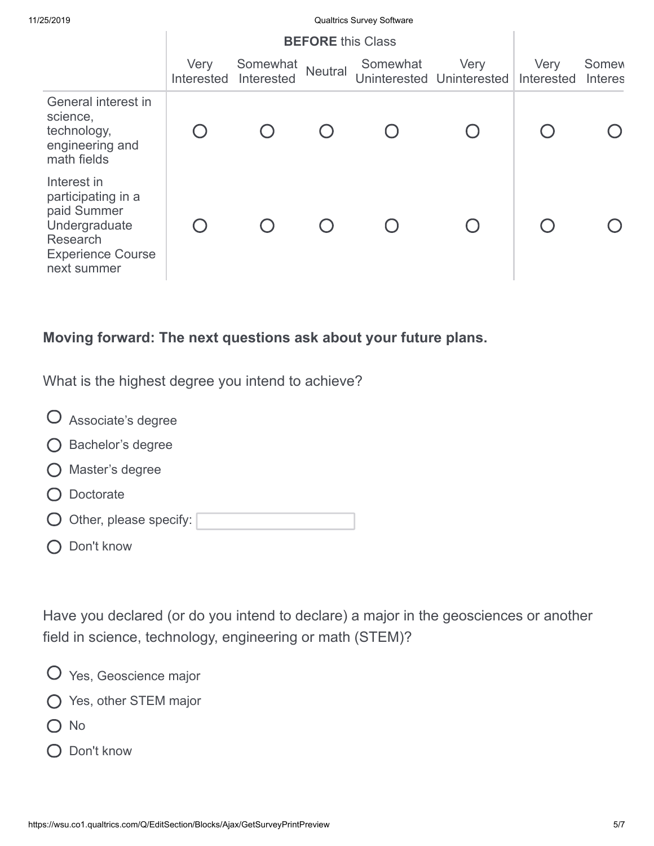Qualtrics Survey Software

|                                                                                                                          | Very<br>Interested | Somewhat<br>Interested | Neutral | Somewhat | Very<br>Uninterested Uninterested | Very<br>Interested | <b>Somew</b><br><b>Interes</b> |
|--------------------------------------------------------------------------------------------------------------------------|--------------------|------------------------|---------|----------|-----------------------------------|--------------------|--------------------------------|
| General interest in<br>science,<br>technology,<br>engineering and<br>math fields                                         |                    |                        |         |          |                                   |                    |                                |
| Interest in<br>participating in a<br>paid Summer<br>Undergraduate<br>Research<br><b>Experience Course</b><br>next summer |                    |                        |         |          |                                   |                    |                                |

## **Moving forward: The next questions ask about your future plans.**

What is the highest degree you intend to achieve?

| $\bigcup$ Associate's degree      |
|-----------------------------------|
| ◯ Bachelor's degree               |
| Master's degree                   |
| Doctorate                         |
| $\bigcirc$ Other, please specify: |
| Don't know                        |

Have you declared (or do you intend to declare) a major in the geosciences or another field in science, technology, engineering or math (STEM)?

- Yes, Geoscience major
- Yes, other STEM major
- O No
- O Don't know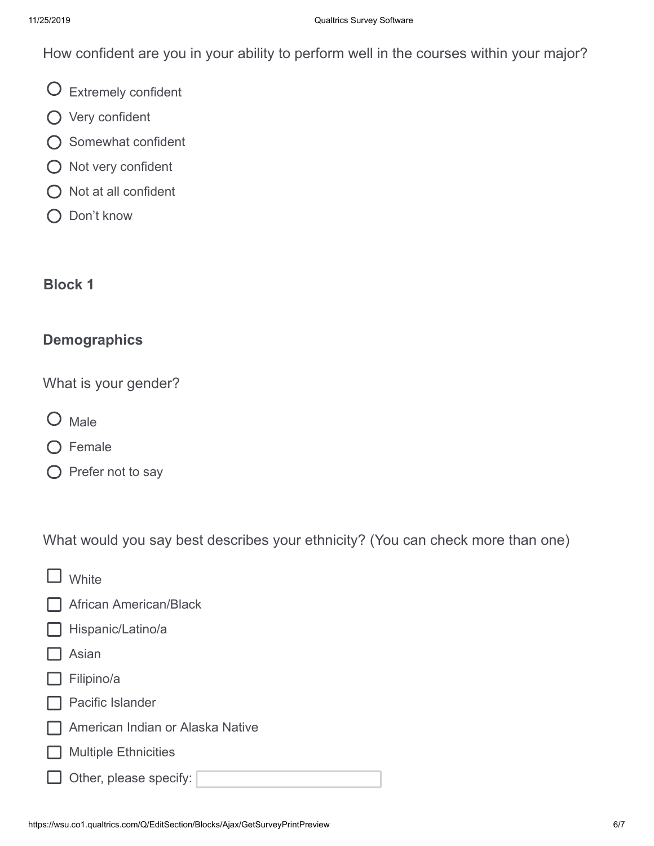How confident are you in your ability to perform well in the courses within your major?

Extremely confident

- Very confident
- O Somewhat confident
- $\bigcirc$  Not very confident
- $\bigcirc$  Not at all confident
- Q Don't know

## **Block 1**

## **Demographics**

What is your gender?

- O Male
- O Female
- $\bigcirc$  Prefer not to say

What would you say best describes your ethnicity? (You can check more than one)

| <b>White</b>                     |
|----------------------------------|
| <b>African American/Black</b>    |
| Hispanic/Latino/a                |
| Asian                            |
| Filipino/a                       |
| <b>Pacific Islander</b>          |
| American Indian or Alaska Native |
| <b>Multiple Ethnicities</b>      |
| $\Box$ Other, please specify:    |